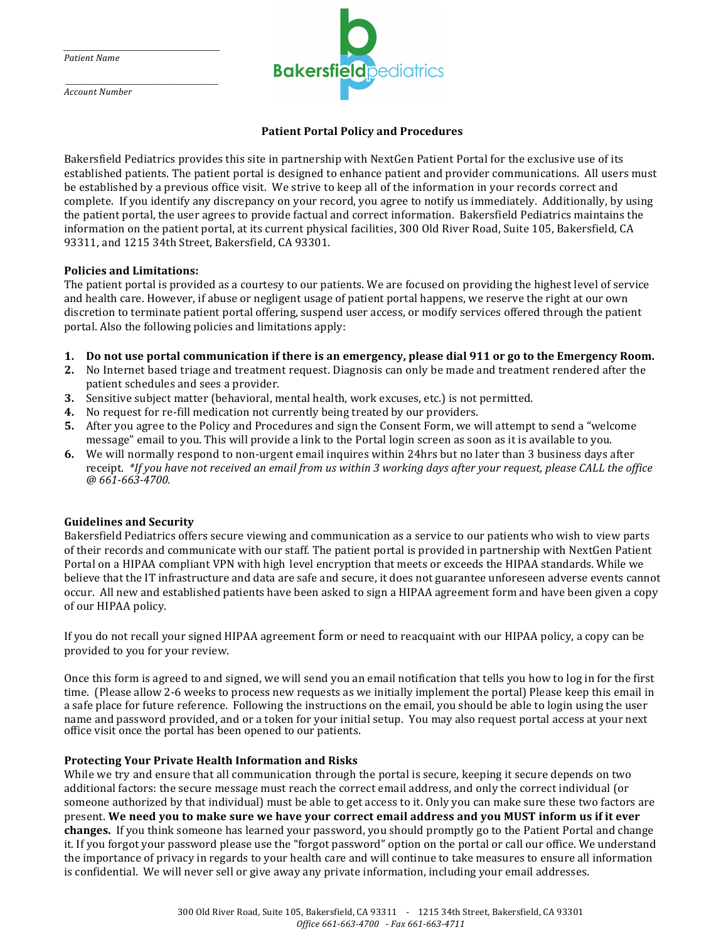*Patient Name* 

*\_\_\_\_\_\_\_\_\_\_\_\_\_\_\_\_\_\_\_\_\_\_\_\_\_\_\_\_\_\_\_\_\_\_\_\_\_\_\_\_\_\_\_* 

 *\_\_\_\_\_\_\_\_\_\_\_\_\_\_\_\_\_\_\_\_\_\_\_\_\_\_\_\_\_\_\_\_\_\_\_\_\_\_\_\_\_\_ Account Number*



# **Patient Portal Policy and Procedures**

Bakersfield Pediatrics provides this site in partnership with NextGen Patient Portal for the exclusive use of its established patients. The patient portal is designed to enhance patient and provider communications. All users must be established by a previous office visit. We strive to keep all of the information in your records correct and complete. If you identify any discrepancy on your record, you agree to notify us immediately. Additionally, by using the patient portal, the user agrees to provide factual and correct information. Bakersfield Pediatrics maintains the information on the patient portal, at its current physical facilities, 300 Old River Road, Suite 105, Bakersfield, CA 93311, and 1215 34th Street, Bakersfield, CA 93301. 

### **Policies and Limitations:**

The patient portal is provided as a courtesy to our patients. We are focused on providing the highest level of service and health care. However, if abuse or negligent usage of patient portal happens, we reserve the right at our own discretion to terminate patient portal offering, suspend user access, or modify services offered through the patient portal. Also the following policies and limitations apply:

- **1.** Do not use portal communication if there is an emergency, please dial 911 or go to the Emergency Room.
- **2.** No Internet based triage and treatment request. Diagnosis can only be made and treatment rendered after the patient schedules and sees a provider.
- **3.** Sensitive subject matter (behavioral, mental health, work excuses, etc.) is not permitted.
- **4.** No request for re-fill medication not currently being treated by our providers.
- **5.** After you agree to the Policy and Procedures and sign the Consent Form, we will attempt to send a "welcome" message" email to you. This will provide a link to the Portal login screen as soon as it is available to you.
- **6.** We will normally respond to non-urgent email inquires within 24hrs but no later than 3 business days after receipt. *\*If you have not received an email from us within 3 working days after your request, please CALL the office @ 661-663-4700.*

## **Guidelines and Security**

Bakersfield Pediatrics offers secure viewing and communication as a service to our patients who wish to view parts of their records and communicate with our staff. The patient portal is provided in partnership with NextGen Patient Portal on a HIPAA compliant VPN with high level encryption that meets or exceeds the HIPAA standards. While we believe that the IT infrastructure and data are safe and secure, it does not guarantee unforeseen adverse events cannot occur. All new and established patients have been asked to sign a HIPAA agreement form and have been given a copy of our HIPAA policy.

If you do not recall your signed HIPAA agreement form or need to reacquaint with our HIPAA policy, a copy can be provided to you for your review.

Once this form is agreed to and signed, we will send you an email notification that tells you how to log in for the first time. (Please allow 2-6 weeks to process new requests as we initially implement the portal) Please keep this email in a safe place for future reference. Following the instructions on the email, you should be able to login using the user name and password provided, and or a token for your initial setup. You may also request portal access at your next office visit once the portal has been opened to our patients.

## **Protecting Your Private Health Information and Risks**

While we try and ensure that all communication through the portal is secure, keeping it secure depends on two additional factors: the secure message must reach the correct email address, and only the correct individual (or someone authorized by that individual) must be able to get access to it. Only you can make sure these two factors are present. We need you to make sure we have your correct email address and you MUST inform us if it ever **changes.** If you think someone has learned your password, you should promptly go to the Patient Portal and change it. If you forgot your password please use the "forgot password" option on the portal or call our office. We understand the importance of privacy in regards to your health care and will continue to take measures to ensure all information is confidential. We will never sell or give away any private information, including your email addresses.